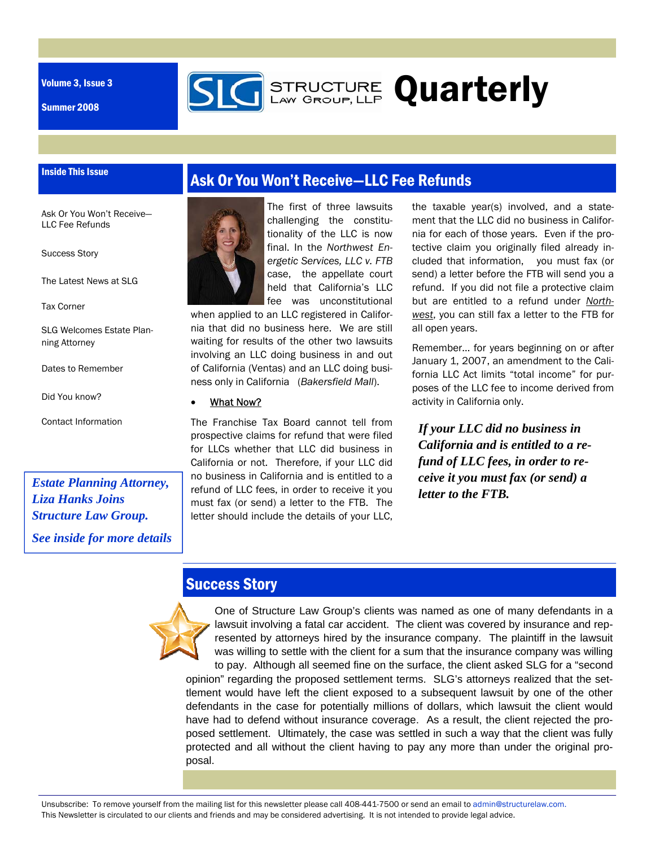Volume 3, Issue 3

Summer 2008

Inside This Issue



**STRUCTURE Quarterly** 

Ask Or You Won't Receive— LLC Fee Refunds

Success Story

The Latest News at SLG

Tax Corner

SLG Welcomes Estate Planning Attorney

Dates to Remember

Did You know?

Contact Information

*Estate Planning Attorney, Liza Hanks Joins Structure Law Group. See inside for more details* 



The first of three lawsuits challenging the constitutionality of the LLC is now final. In the *Northwest Energetic Services, LLC v. FTB*  case, the appellate court held that California's LLC fee was unconstitutional

when applied to an LLC registered in California that did no business here. We are still waiting for results of the other two lawsuits involving an LLC doing business in and out of California (Ventas) and an LLC doing business only in California (*Bakersfield Mall*).

### What Now?

The Franchise Tax Board cannot tell from prospective claims for refund that were filed for LLCs whether that LLC did business in California or not. Therefore, if your LLC did no business in California and is entitled to a refund of LLC fees, in order to receive it you must fax (or send) a letter to the FTB. The letter should include the details of your LLC,

the taxable year(s) involved, and a statement that the LLC did no business in California for each of those years. Even if the protective claim you originally filed already included that information, you must fax (or send) a letter before the FTB will send you a refund. If you did not file a protective claim but are entitled to a refund under *Northwest*, you can still fax a letter to the FTB for all open years.

Remember… for years beginning on or after January 1, 2007, an amendment to the California LLC Act limits "total income" for purposes of the LLC fee to income derived from activity in California only.

*If your LLC did no business in California and is entitled to a refund of LLC fees, in order to receive it you must fax (or send) a letter to the FTB.* 

### Success Story

One of Structure Law Group's clients was named as one of many defendants in a lawsuit involving a fatal car accident. The client was covered by insurance and represented by attorneys hired by the insurance company. The plaintiff in the lawsuit was willing to settle with the client for a sum that the insurance company was willing to pay. Although all seemed fine on the surface, the client asked SLG for a "second opinion" regarding the proposed settlement terms. SLG's attorneys realized that the settlement would have left the client exposed to a subsequent lawsuit by one of the other defendants in the case for potentially millions of dollars, which lawsuit the client would have had to defend without insurance coverage. As a result, the client rejected the proposed settlement. Ultimately, the case was settled in such a way that the client was fully protected and all without the client having to pay any more than under the original proposal.

Unsubscribe: To remove yourself from the mailing list for this newsletter please call 408-441-7500 or send an email to admin@structurelaw.com. This Newsletter is circulated to our clients and friends and may be considered advertising. It is not intended to provide legal advice.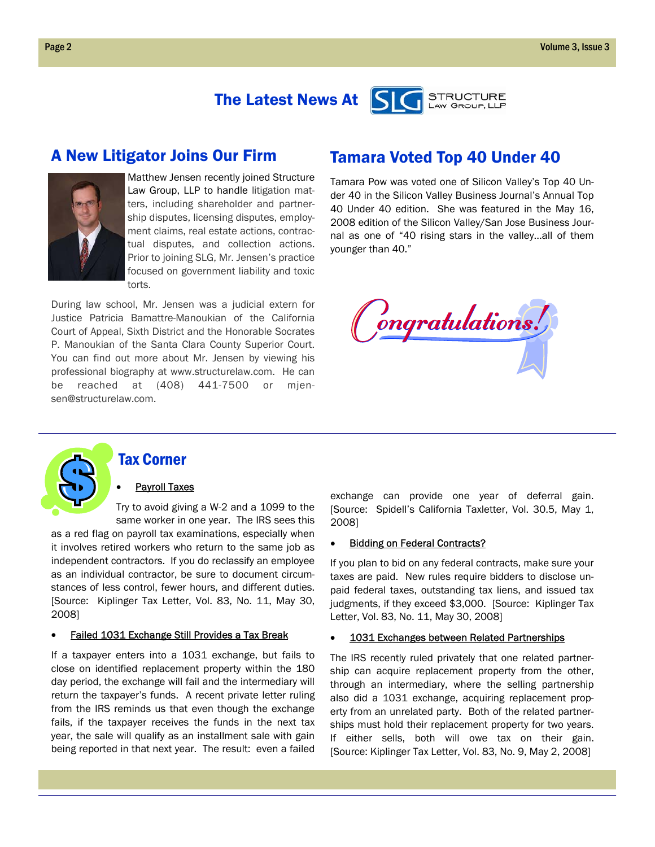#### The Latest News At **STRUCTURE** LAW GROUP, LLP

### A New Litigator Joins Our Firm



Matthew Jensen recently joined Structure Law Group, LLP to handle litigation matters, including shareholder and partnership disputes, licensing disputes, employment claims, real estate actions, contractual disputes, and collection actions. Prior to joining SLG, Mr. Jensen's practice focused on government liability and toxic torts.

During law school, Mr. Jensen was a judicial extern for Justice Patricia Bamattre-Manoukian of the California Court of Appeal, Sixth District and the Honorable Socrates P. Manoukian of the Santa Clara County Superior Court. You can find out more about Mr. Jensen by viewing his professional biography at www.structurelaw.com. He can be reached at (408) 441-7500 or mjensen@structurelaw.com.

### Tamara Voted Top 40 Under 40

Tamara Pow was voted one of Silicon Valley's Top 40 Under 40 in the Silicon Valley Business Journal's Annual Top 40 Under 40 edition. She was featured in the May 16, 2008 edition of the Silicon Valley/San Jose Business Journal as one of "40 rising stars in the valley...all of them younger than 40."





### Tax Corner

#### **Payroll Taxes**

Try to avoid giving a W-2 and a 1099 to the same worker in one year. The IRS sees this

as a red flag on payroll tax examinations, especially when it involves retired workers who return to the same job as independent contractors. If you do reclassify an employee as an individual contractor, be sure to document circumstances of less control, fewer hours, and different duties. [Source: Kiplinger Tax Letter, Vol. 83, No. 11, May 30, 2008]

#### **Failed 1031 Exchange Still Provides a Tax Break**

If a taxpayer enters into a 1031 exchange, but fails to close on identified replacement property within the 180 day period, the exchange will fail and the intermediary will return the taxpayer's funds. A recent private letter ruling from the IRS reminds us that even though the exchange fails, if the taxpayer receives the funds in the next tax year, the sale will qualify as an installment sale with gain being reported in that next year. The result: even a failed

exchange can provide one year of deferral gain. [Source: Spidell's California Taxletter, Vol. 30.5, May 1, 2008]

#### **Bidding on Federal Contracts?**

If you plan to bid on any federal contracts, make sure your taxes are paid. New rules require bidders to disclose unpaid federal taxes, outstanding tax liens, and issued tax judgments, if they exceed \$3,000. [Source: Kiplinger Tax Letter, Vol. 83, No. 11, May 30, 2008]

#### • 1031 Exchanges between Related Partnerships

The IRS recently ruled privately that one related partnership can acquire replacement property from the other, through an intermediary, where the selling partnership also did a 1031 exchange, acquiring replacement property from an unrelated party. Both of the related partnerships must hold their replacement property for two years. If either sells, both will owe tax on their gain. [Source: Kiplinger Tax Letter, Vol. 83, No. 9, May 2, 2008]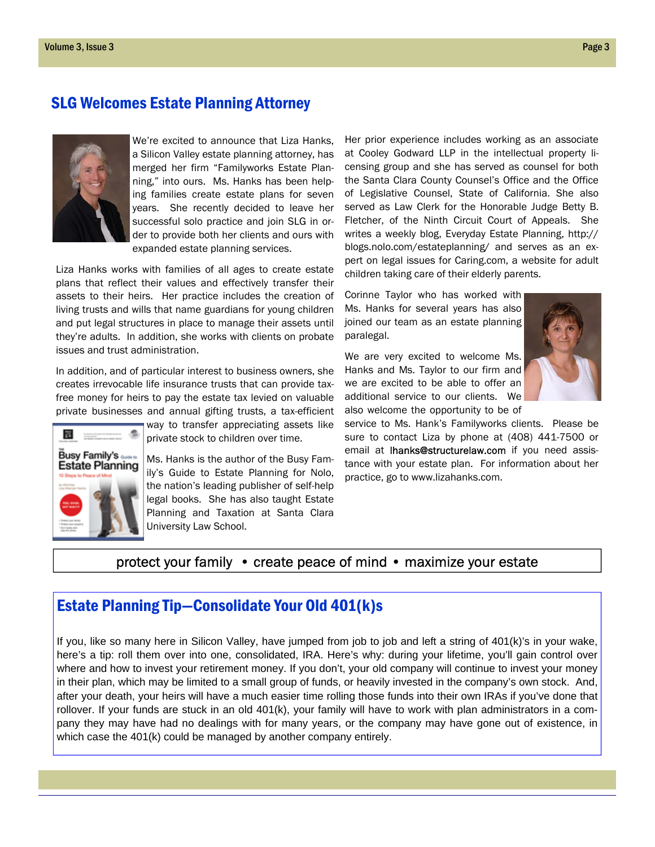### SLG Welcomes Estate Planning Attorney



We're excited to announce that Liza Hanks, a Silicon Valley estate planning attorney, has merged her firm "Familyworks Estate Planning," into ours. Ms. Hanks has been helping families create estate plans for seven years. She recently decided to leave her successful solo practice and join SLG in order to provide both her clients and ours with expanded estate planning services.

Liza Hanks works with families of all ages to create estate plans that reflect their values and effectively transfer their assets to their heirs. Her practice includes the creation of living trusts and wills that name guardians for young children and put legal structures in place to manage their assets until they're adults. In addition, she works with clients on probate issues and trust administration.

In addition, and of particular interest to business owners, she creates irrevocable life insurance trusts that can provide taxfree money for heirs to pay the estate tax levied on valuable private businesses and annual gifting trusts, a tax-efficient



way to transfer appreciating assets like private stock to children over time.

Ms. Hanks is the author of the Busy Family's Guide to Estate Planning for Nolo, the nation's leading publisher of self-help legal books. She has also taught Estate Planning and Taxation at Santa Clara University Law School.

Her prior experience includes working as an associate at Cooley Godward LLP in the intellectual property licensing group and she has served as counsel for both the Santa Clara County Counsel's Office and the Office of Legislative Counsel, State of California. She also served as Law Clerk for the Honorable Judge Betty B. Fletcher, of the Ninth Circuit Court of Appeals. She writes a weekly blog, Everyday Estate Planning, http:// blogs.nolo.com/estateplanning/ and serves as an expert on legal issues for Caring.com, a website for adult children taking care of their elderly parents.

Corinne Taylor who has worked with Ms. Hanks for several years has also joined our team as an estate planning paralegal.

We are very excited to welcome Ms. Hanks and Ms. Taylor to our firm and we are excited to be able to offer an additional service to our clients. We also welcome the opportunity to be of



service to Ms. Hank's Familyworks clients. Please be sure to contact Liza by phone at (408) 441-7500 or email at **lhanks@structurelaw.com** if you need assistance with your estate plan. For information about her practice, go to www.lizahanks.com.

### protect your family • create peace of mind • maximize your estate

### Estate Planning Tip—Consolidate Your Old 401(k)s

If you, like so many here in Silicon Valley, have jumped from job to job and left a string of 401(k)'s in your wake, here's a tip: roll them over into one, consolidated, IRA. Here's why: during your lifetime, you'll gain control over where and how to invest your retirement money. If you don't, your old company will continue to invest your money in their plan, which may be limited to a small group of funds, or heavily invested in the company's own stock. And, after your death, your heirs will have a much easier time rolling those funds into their own IRAs if you've done that rollover. If your funds are stuck in an old 401(k), your family will have to work with plan administrators in a company they may have had no dealings with for many years, or the company may have gone out of existence, in which case the 401(k) could be managed by another company entirely.